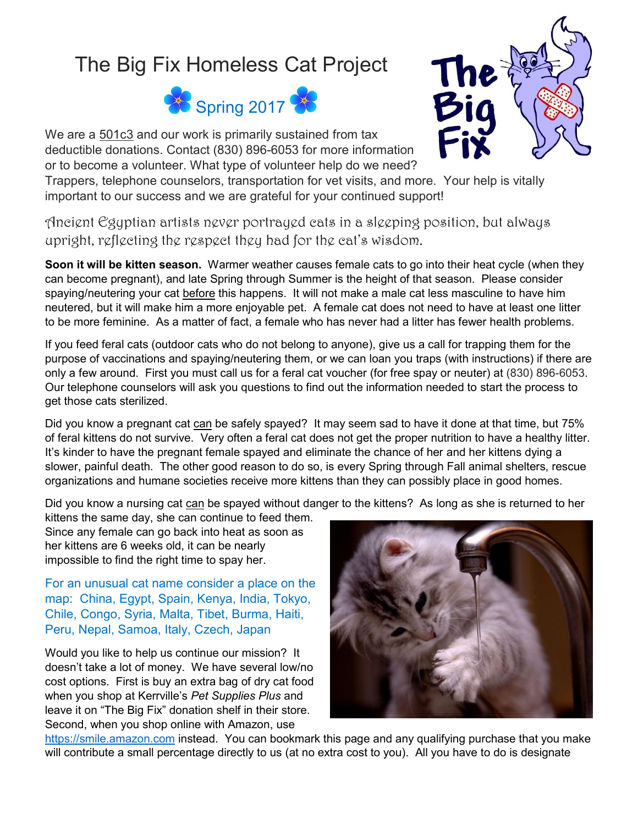## The Big Fix Homeless Cat Project



We are a 501c3 and our work is primarily sustained from tax deductible donations. Contact (830) 896-6053 for more information or to become a volunteer. What type of volunteer help do we need?

Trappers, telephone counselors, transportation for vet visits, and more. Your help is vitally important to our success and we are grateful for your continued support!

Ancient Egyptian artists never portrayed cats in a sleeping position, but always upright, reflecting the respect they had for the cat's wisdom.

**Soon it will be kitten season.** Warmer weather causes female cats to go into their heat cycle (when they can become pregnant), and late Spring through Summer is the height of that season. Please consider spaying/neutering your cat before this happens. It will not make a male cat less masculine to have him neutered, but it will make him a more enjoyable pet. A female cat does not need to have at least one litter to be more feminine. As a matter of fact, a female who has never had a litter has fewer health problems.

If you feed feral cats (outdoor cats who do not belong to anyone), give us a call for trapping them for the purpose of vaccinations and spaying/neutering them, or we can loan you traps (with instructions) if there are only a few around. First you must call us for a feral cat voucher (for free spay or neuter) at (830) 896-6053. Our telephone counselors will ask you questions to find out the information needed to start the process to get those cats sterilized.

Did you know a pregnant cat can be safely spayed? It may seem sad to have it done at that time, but 75% of feral kittens do not survive. Very often a feral cat does not get the proper nutrition to have a healthy litter. It's kinder to have the pregnant female spayed and eliminate the chance of her and her kittens dying a slower, painful death. The other good reason to do so, is every Spring through Fall animal shelters, rescue organizations and humane societies receive more kittens than they can possibly place in good homes.

Did you know a nursing cat can be spayed without danger to the kittens? As long as she is returned to her

kittens the same day, she can continue to feed them. Since any female can go back into heat as soon as her kittens are 6 weeks old, it can be nearly impossible to find the right time to spay her.

For an unusual cat name consider a place on the map: China, Egypt, Spain, Kenya, India, Tokyo, Chile, Congo, Syria, Malta, Tibet, Burma, Haiti, Peru, Nepal, Samoa, Italy, Czech, Japan

Would you like to help us continue our mission? It doesn't take a lot of money. We have several low/no cost options. First is buy an extra bag of dry cat food when you shop at Kerrville's *Pet Supplies Plus* and leave it on "The Big Fix" donation shelf in their store. Second, when you shop online with Amazon, use



[https://smile.amazon.com](https://smile.amazon.com/) instead. You can bookmark this page and any qualifying purchase that you make will contribute a small percentage directly to us (at no extra cost to you). All you have to do is designate